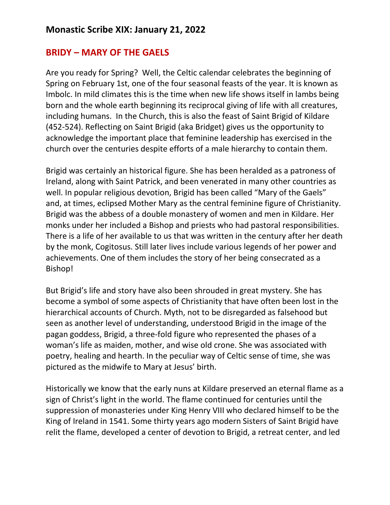## **BRIDY – MARY OF THE GAELS**

Are you ready for Spring? Well, the Celtic calendar celebrates the beginning of Spring on February 1st, one of the four seasonal feasts of the year. It is known as Imbolc. In mild climates this is the time when new life shows itself in lambs being born and the whole earth beginning its reciprocal giving of life with all creatures, including humans. In the Church, this is also the feast of Saint Brigid of Kildare (452-524). Reflecting on Saint Brigid (aka Bridget) gives us the opportunity to acknowledge the important place that feminine leadership has exercised in the church over the centuries despite efforts of a male hierarchy to contain them.

Brigid was certainly an historical figure. She has been heralded as a patroness of Ireland, along with Saint Patrick, and been venerated in many other countries as well. In popular religious devotion, Brigid has been called "Mary of the Gaels" and, at times, eclipsed Mother Mary as the central feminine figure of Christianity. Brigid was the abbess of a double monastery of women and men in Kildare. Her monks under her included a Bishop and priests who had pastoral responsibilities. There is a life of her available to us that was written in the century after her death by the monk, Cogitosus. Still later lives include various legends of her power and achievements. One of them includes the story of her being consecrated as a Bishop!

But Brigid's life and story have also been shrouded in great mystery. She has become a symbol of some aspects of Christianity that have often been lost in the hierarchical accounts of Church. Myth, not to be disregarded as falsehood but seen as another level of understanding, understood Brigid in the image of the pagan goddess, Brigid, a three-fold figure who represented the phases of a woman's life as maiden, mother, and wise old crone. She was associated with poetry, healing and hearth. In the peculiar way of Celtic sense of time, she was pictured as the midwife to Mary at Jesus' birth.

Historically we know that the early nuns at Kildare preserved an eternal flame as a sign of Christ's light in the world. The flame continued for centuries until the suppression of monasteries under King Henry VIII who declared himself to be the King of Ireland in 1541. Some thirty years ago modern Sisters of Saint Brigid have relit the flame, developed a center of devotion to Brigid, a retreat center, and led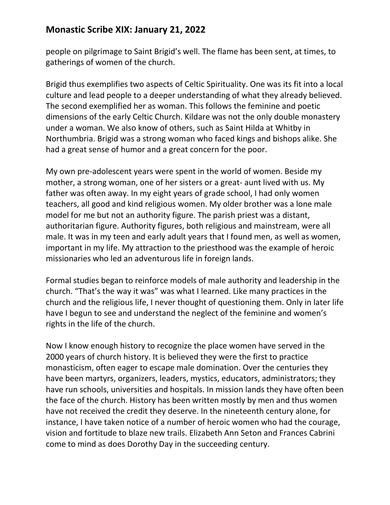## **Monastic Scribe XIX: January 21, 2022**

people on pilgrimage to Saint Brigid's well. The flame has been sent, at times, to gatherings of women of the church.

Brigid thus exemplifies two aspects of Celtic Spirituality. One was its fit into a local culture and lead people to a deeper understanding of what they already believed. The second exemplified her as woman. This follows the feminine and poetic dimensions of the early Celtic Church. Kildare was not the only double monastery under a woman. We also know of others, such as Saint Hilda at Whitby in Northumbria. Brigid was a strong woman who faced kings and bishops alike. She had a great sense of humor and a great concern for the poor.

My own pre-adolescent years were spent in the world of women. Beside my mother, a strong woman, one of her sisters or a great- aunt lived with us. My father was often away. In my eight years of grade school, I had only women teachers, all good and kind religious women. My older brother was a lone male model for me but not an authority figure. The parish priest was a distant, authoritarian figure. Authority figures, both religious and mainstream, were all male. It was in my teen and early adult years that I found men, as well as women, important in my life. My attraction to the priesthood was the example of heroic missionaries who led an adventurous life in foreign lands.

Formal studies began to reinforce models of male authority and leadership in the church. "That's the way it was" was what I learned. Like many practices in the church and the religious life, I never thought of questioning them. Only in later life have I begun to see and understand the neglect of the feminine and women's rights in the life of the church.

Now I know enough history to recognize the place women have served in the 2000 years of church history. It is believed they were the first to practice monasticism, often eager to escape male domination. Over the centuries they have been martyrs, organizers, leaders, mystics, educators, administrators; they have run schools, universities and hospitals. In mission lands they have often been the face of the church. History has been written mostly by men and thus women have not received the credit they deserve. In the nineteenth century alone, for instance, I have taken notice of a number of heroic women who had the courage, vision and fortitude to blaze new trails. Elizabeth Ann Seton and Frances Cabrini come to mind as does Dorothy Day in the succeeding century.